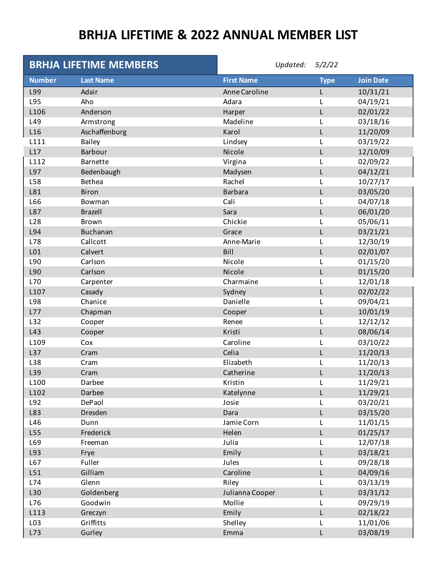## **BRHJA LIFETIME & 2022 ANNUAL MEMBER LIST**

|                 | <b>BRHJA LIFETIME MEMBERS</b> | Updated: $5/2/22$ |             |                  |
|-----------------|-------------------------------|-------------------|-------------|------------------|
| <b>Number</b>   | <b>Last Name</b>              | <b>First Name</b> | <b>Type</b> | <b>Join Date</b> |
| L99             | Adair                         | Anne Caroline     | L           | 10/31/21         |
| L95             | Aho                           | Adara             | L           | 04/19/21         |
| L106            | Anderson                      | Harper            | L           | 02/01/22         |
| L49             | Armstrong                     | Madeline          |             | 03/18/16         |
| L16             | Aschaffenburg                 | Karol             | L           | 11/20/09         |
| L111            | Bailey                        | Lindsey           |             | 03/19/22         |
| L17             | <b>Barbour</b>                | Nicole            | L           | 12/10/09         |
| L112            | Barnette                      | Virgina           | L           | 02/09/22         |
| L97             | Bedenbaugh                    | Madysen           | L           | 04/12/21         |
| L58             | <b>Bethea</b>                 | Rachel            |             | 10/27/17         |
| L81             | <b>Biron</b>                  | <b>Barbara</b>    | L           | 03/05/20         |
| L66             | Bowman                        | Cali              |             | 04/07/18         |
| L87             | <b>Brazell</b>                | Sara              | L           | 06/01/20         |
| L <sub>28</sub> | Brown                         | Chickie           | L           | 05/06/11         |
| L94             | <b>Buchanan</b>               | Grace             | L           | 03/21/21         |
| L78             | Callcott                      | Anne-Marie        |             | 12/30/19         |
| L01             | Calvert                       | Bill              | L           | 02/01/07         |
| L90             | Carlson                       | Nicole            |             | 01/15/20         |
| L90             | Carlson                       | Nicole            | L           | 01/15/20         |
| L70             | Carpenter                     | Charmaine         | L           | 12/01/18         |
| L107            | Casady                        | Sydney            | L           | 02/02/22         |
| L98             | Chanice                       | Danielle          | L           | 09/04/21         |
| L77             | Chapman                       | Cooper            | L           | 10/01/19         |
| L32             | Cooper                        | Renee             |             | 12/12/12         |
| L43             | Cooper                        | Kristi            | L           | 08/06/14         |
| L109            | Cox                           | Caroline          | L           | 03/10/22         |
| L37             | Cram                          | Celia             | L           | 11/20/13         |
| L38             | Cram                          | Elizabeth         |             | 11/20/13         |
| L39             | Cram                          | Catherine         | L           | 11/20/13         |
| L100            | Darbee                        | Kristin           | L           | 11/29/21         |
| L102            | Darbee                        | Katelynne         |             | 11/29/21         |
| L92             | DePaol                        | Josie             | L           | 03/20/21         |
| L83             | Dresden                       | Dara              | L           | 03/15/20         |
| L46             | Dunn                          | Jamie Corn        |             | 11/01/15         |
| L55             | Frederick                     | Helen             | L           | 01/25/17         |
| L69             | Freeman                       | Julia             |             | 12/07/18         |
| L93             | Frye                          | Emily             | L           | 03/18/21         |
| L67             | Fuller                        | Jules             |             | 09/28/18         |
| L51             | Gilliam                       | Caroline          | L           | 04/09/16         |
| L74             | Glenn                         | Riley             |             | 03/13/19         |
| L30             | Goldenberg                    | Julianna Cooper   | L           | 03/31/12         |
| L76             | Goodwin                       | Mollie            |             | 09/29/19         |
| L113            | Greczyn                       | Emily             | L           | 02/18/22         |
| L <sub>03</sub> | Griffitts                     | Shelley           | L           | 11/01/06         |
| L73             | Gurley                        | Emma              | L           | 03/08/19         |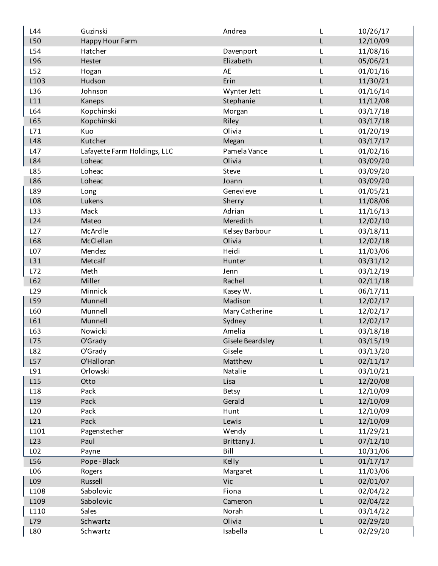| L44             | Guzinski                     | Andrea           | L | 10/26/17 |
|-----------------|------------------------------|------------------|---|----------|
| L50             | Happy Hour Farm              |                  | L | 12/10/09 |
| L54             | Hatcher                      | Davenport        | L | 11/08/16 |
| L96             | Hester                       | Elizabeth        | L | 05/06/21 |
| L52             | Hogan                        | AE               | L | 01/01/16 |
| L103            | Hudson                       | Erin             | L | 11/30/21 |
| L36             | Johnson                      | Wynter Jett      | L | 01/16/14 |
| L11             | Kaneps                       | Stephanie        | L | 11/12/08 |
| L64             | Kopchinski                   | Morgan           | L | 03/17/18 |
| L65             | Kopchinski                   | Riley            | L | 03/17/18 |
| L71             | Kuo                          | Olivia           | L | 01/20/19 |
| L48             | Kutcher                      | Megan            | L | 03/17/17 |
| L47             | Lafayette Farm Holdings, LLC | Pamela Vance     | L | 01/02/16 |
| L84             | Loheac                       | Olivia           | L | 03/09/20 |
| L85             | Loheac                       | Steve            | L | 03/09/20 |
| L86             | Loheac                       | Joann            | L | 03/09/20 |
| L89             | Long                         | Genevieve        | L | 01/05/21 |
| L08             | Lukens                       | Sherry           | L | 11/08/06 |
| L33             | Mack                         | Adrian           | L | 11/16/13 |
| L24             | Mateo                        | Meredith         | L | 12/02/10 |
| L27             | McArdle                      | Kelsey Barbour   | L | 03/18/11 |
| L68             | McClellan                    | Olivia           | L | 12/02/18 |
| L07             | Mendez                       | Heidi            | L | 11/03/06 |
| L31             | Metcalf                      | Hunter           | L | 03/31/12 |
| L72             | Meth                         | Jenn             | L | 03/12/19 |
| L62             | Miller                       | Rachel           | L | 02/11/18 |
| L <sub>29</sub> | Minnick                      | Kasey W.         | L | 06/17/11 |
| L59             | Munnell                      | Madison          | L | 12/02/17 |
| L60             | Munnell                      | Mary Catherine   | L | 12/02/17 |
| L61             | Munnell                      | Sydney           | L | 12/02/17 |
| L63             | Nowicki                      | Amelia           | L | 03/18/18 |
| L75             | O'Grady                      | Gisele Beardsley | L | 03/15/19 |
| L82             | O'Grady                      | Gisele           | L | 03/13/20 |
| L57             | O'Halloran                   | Matthew          | L | 02/11/17 |
| L91             | Orlowski                     | Natalie          | L | 03/10/21 |
| L15             | Otto                         | Lisa             | L | 12/20/08 |
| L18             | Pack                         | <b>Betsy</b>     | L | 12/10/09 |
| L19             | Pack                         | Gerald           | L | 12/10/09 |
| L20             | Pack                         | Hunt             |   | 12/10/09 |
| L21             | Pack                         | Lewis            | L | 12/10/09 |
| L101            | Pagenstecher                 | Wendy            |   | 11/29/21 |
| L23             | Paul                         | Brittany J.      | L | 07/12/10 |
| L <sub>02</sub> | Payne                        | Bill             | L | 10/31/06 |
| L56             | Pope-Black                   | Kelly            | L | 01/17/17 |
| L06             | Rogers                       | Margaret         |   | 11/03/06 |
| L09             | Russell                      | Vic              | L | 02/01/07 |
| L108            | Sabolovic                    | Fiona            | L | 02/04/22 |
| L109            | Sabolovic                    | Cameron          | L | 02/04/22 |
| L110            | Sales                        | Norah            | L | 03/14/22 |
| L79             | Schwartz                     | Olivia           | L | 02/29/20 |
| L80             | Schwartz                     | Isabella         | L | 02/29/20 |
|                 |                              |                  |   |          |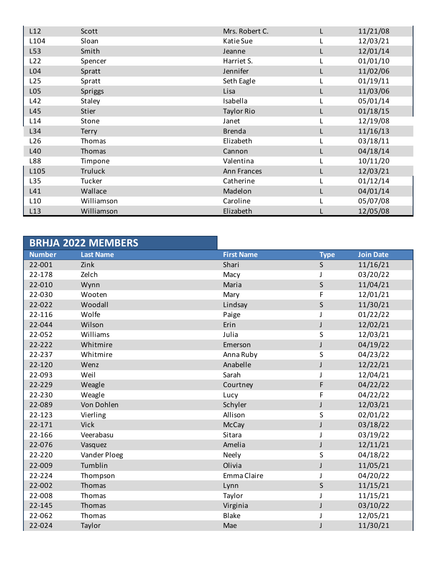| L12             | Scott        | Mrs. Robert C.     | 11/21/08 |
|-----------------|--------------|--------------------|----------|
| L104            | Sloan        | Katie Sue          | 12/03/21 |
| L53             | Smith        | Jeanne             | 12/01/14 |
| L22             | Spencer      | Harriet S.         | 01/01/10 |
| L04             | Spratt       | Jennifer           | 11/02/06 |
| L25             | Spratt       | Seth Eagle         | 01/19/11 |
| L05             | Spriggs      | Lisa               | 11/03/06 |
| L42             | Staley       | Isabella           | 05/01/14 |
| L45             | Stier        | <b>Taylor Rio</b>  | 01/18/15 |
| L14             | Stone        | Janet              | 12/19/08 |
| L34             | <b>Terry</b> | <b>Brenda</b>      | 11/16/13 |
| L <sub>26</sub> | Thomas       | Elizabeth          | 03/18/11 |
| L40             | Thomas       | Cannon             | 04/18/14 |
| L88             | Timpone      | Valentina          | 10/11/20 |
| L105            | Truluck      | <b>Ann Frances</b> | 12/03/21 |
| L35             | Tucker       | Catherine          | 01/12/14 |
| L41             | Wallace      | Madelon            | 04/01/14 |
| L10             | Williamson   | Caroline           | 05/07/08 |
| L13             | Williamson   | Elizabeth          | 12/05/08 |

|               | <b>BRHJA 2022 MEMBERS</b> |                   |              |                  |
|---------------|---------------------------|-------------------|--------------|------------------|
| <b>Number</b> | <b>Last Name</b>          | <b>First Name</b> | <b>Type</b>  | <b>Join Date</b> |
| 22-001        | Zink                      | Shari             | S            | 11/16/21         |
| 22-178        | Zelch                     | Macy              |              | 03/20/22         |
| 22-010        | Wynn                      | Maria             | $\mathsf S$  | 11/04/21         |
| 22-030        | Wooten                    | Mary              | F            | 12/01/21         |
| 22-022        | Woodall                   | Lindsay           | $\mathsf S$  | 11/30/21         |
| 22-116        | Wolfe                     | Paige             |              | 01/22/22         |
| 22-044        | Wilson                    | Erin              | J            | 12/02/21         |
| 22-052        | Williams                  | Julia             | S            | 12/03/21         |
| 22-222        | Whitmire                  | Emerson           | J            | 04/19/22         |
| 22-237        | Whitmire                  | Anna Ruby         | S            | 04/23/22         |
| 22-120        | Wenz                      | Anabelle          | J            | 12/22/21         |
| 22-093        | Weil                      | Sarah             | J            | 12/04/21         |
| 22-229        | Weagle                    | Courtney          | F            | 04/22/22         |
| 22-230        | Weagle                    | Lucy              | F            | 04/22/22         |
| 22-089        | Von Dohlen                | Schyler           | J            | 12/03/21         |
| 22-123        | Vierling                  | Allison           | S            | 02/01/22         |
| 22-171        | <b>Vick</b>               | McCay             | $\mathsf{J}$ | 03/18/22         |
| 22-166        | Veerabasu                 | Sitara            | T            | 03/19/22         |
| 22-076        | Vasquez                   | Amelia            | J            | 12/11/21         |
| 22-220        | Vander Ploeg              | Neely             | S            | 04/18/22         |
| 22-009        | Tumblin                   | Olivia            | J            | 11/05/21         |
| 22-224        | Thompson                  | Emma Claire       |              | 04/20/22         |
| 22-002        | Thomas                    | Lynn              | $\sf S$      | 11/15/21         |
| 22-008        | Thomas                    | Taylor            | J            | 11/15/21         |
| 22-145        | Thomas                    | Virginia          | J            | 03/10/22         |
| 22-062        | Thomas                    | <b>Blake</b>      |              | 12/05/21         |
| 22-024        | Taylor                    | Mae               |              | 11/30/21         |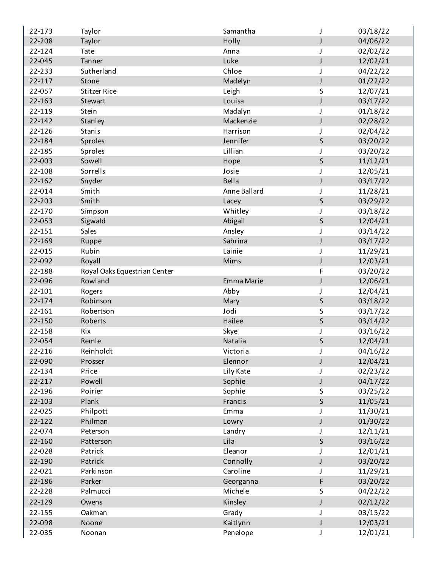| 22-173           | Taylor                       | Samantha             | J            | 03/18/22             |
|------------------|------------------------------|----------------------|--------------|----------------------|
| 22-208           | Taylor                       | Holly                | J            | 04/06/22             |
| 22-124           | <b>Tate</b>                  | Anna                 |              | 02/02/22             |
| 22-045           | Tanner                       | Luke                 | J            | 12/02/21             |
| 22-233           | Sutherland                   | Chloe                | J            | 04/22/22             |
| 22-117           | Stone                        | Madelyn              | $\mathsf{J}$ | 01/22/22             |
| 22-057           | <b>Stitzer Rice</b>          | Leigh                | S            | 12/07/21             |
| 22-163           | Stewart                      | Louisa               | J            | 03/17/22             |
| 22-119           | Stein                        | Madalyn              |              | 01/18/22             |
| 22-142           | Stanley                      | Mackenzie            | J            | 02/28/22             |
| 22-126           | <b>Stanis</b>                | Harrison             | J            | 02/04/22             |
| 22-184           | Sproles                      | Jennifer             | $\sf S$      | 03/20/22             |
| 22-185           | Sproles                      | Lillian              |              | 03/20/22             |
| 22-003           | Sowell                       | Hope                 | $\sf S$      | 11/12/21             |
| 22-108           | Sorrells                     | Josie                |              | 12/05/21             |
| 22-162           | Snyder                       | Bella                | J            | 03/17/22             |
| 22-014           | Smith                        | Anne Ballard         | J            | 11/28/21             |
| 22-203           | Smith                        | Lacey                | $\sf S$      | 03/29/22             |
| 22-170           | Simpson                      | Whitley              |              | 03/18/22             |
| 22-053           | Sigwald                      | Abigail              | $\sf S$      | 12/04/21             |
| 22-151           | Sales                        | Ansley               |              | 03/14/22             |
| 22-169           | Ruppe                        | Sabrina              | J            | 03/17/22             |
| 22-015           | Rubin                        | Lainie               | J            | 11/29/21             |
| 22-092           | Royall                       | Mims                 | $\mathsf{J}$ | 12/03/21             |
| 22-188           | Royal Oaks Equestrian Center |                      | F            | 03/20/22             |
| 22-096           | Rowland                      | Emma Marie           | J            | 12/06/21             |
| 22-101           | Rogers                       | Abby                 |              | 12/04/21             |
| 22-174           | Robinson                     | Mary                 | $\sf S$      | 03/18/22             |
| 22-161           | Robertson                    | Jodi                 | S            | 03/17/22             |
| 22-150           | Roberts                      | Hailee               | $\mathsf S$  | 03/14/22             |
| 22-158           | Rix                          | Skye                 |              | 03/16/22             |
| 22-054           | Remle                        | Natalia              | $\sf S$      | 12/04/21             |
| 22-216           | Reinholdt                    | Victoria             | J            | 04/16/22             |
| 22-090           | Prosser                      | Elennor              |              | 12/04/21             |
| 22-134           | Price                        | Lily Kate            | J            | 02/23/22             |
| 22-217           | Powell                       | Sophie               | J            | 04/17/22             |
| 22-196           | Poirier                      | Sophie               | S            | 03/25/22             |
| 22-103           | Plank                        | Francis              | $\mathsf S$  | 11/05/21             |
| 22-025           | Philpott                     | Emma                 |              | 11/30/21             |
| 22-122           | Philman                      |                      | J            | 01/30/22             |
|                  | Peterson                     | Lowry<br>Landry      |              |                      |
| 22-074<br>22-160 |                              | Lila                 | $\mathsf S$  | 12/11/21<br>03/16/22 |
| 22-028           | Patterson                    | Eleanor              |              |                      |
|                  | Patrick                      |                      |              | 12/01/21             |
| 22-190           | Patrick                      | Connolly<br>Caroline | J            | 03/20/22             |
| 22-021           | Parkinson                    |                      |              | 11/29/21             |
| 22-186           | Parker                       | Georganna            | F            | 03/20/22             |
| 22-228           | Palmucci                     | Michele              | S            | 04/22/22             |
| 22-129           | Owens                        | Kinsley              | J            | 02/12/22             |
| 22-155           | Oakman                       | Grady                | J            | 03/15/22             |
| 22-098           | Noone                        | Kaitlynn             | $\mathsf J$  | 12/03/21             |
| 22-035           | Noonan                       | Penelope             | J            | 12/01/21             |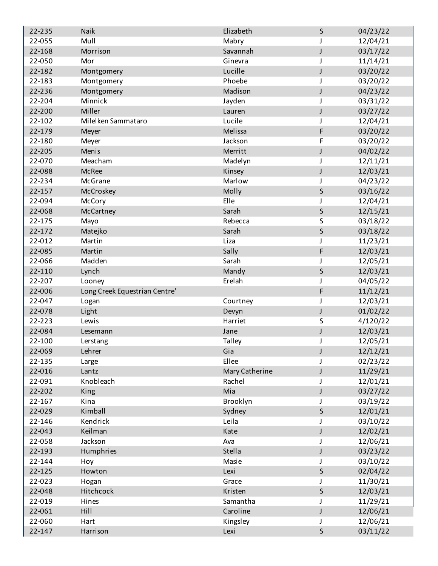| 22-235 | Naik                          | Elizabeth        | S            | 04/23/22 |
|--------|-------------------------------|------------------|--------------|----------|
| 22-055 | Mull                          | Mabry            | J.           | 12/04/21 |
| 22-168 | Morrison                      | Savannah         | $\mathsf J$  | 03/17/22 |
| 22-050 | Mor                           | Ginevra          | J            | 11/14/21 |
| 22-182 | Montgomery                    | Lucille          | J            | 03/20/22 |
| 22-183 | Montgomery                    | Phoebe           |              | 03/20/22 |
| 22-236 | Montgomery                    | Madison          | J            | 04/23/22 |
| 22-204 | Minnick                       | Jayden           | J            | 03/31/22 |
| 22-200 | Miller                        | Lauren           | $\mathsf J$  | 03/27/22 |
| 22-102 | Milelken Sammataro            | Lucile           |              | 12/04/21 |
| 22-179 | Meyer                         | Melissa          | F            | 03/20/22 |
| 22-180 | Meyer                         | Jackson          | F            | 03/20/22 |
| 22-205 | Menis                         | Merritt          | J            | 04/02/22 |
| 22-070 | Meacham                       | Madelyn          | J            | 12/11/21 |
| 22-088 | <b>McRee</b>                  | Kinsey           | $\mathsf J$  | 12/03/21 |
| 22-234 | McGrane                       | Marlow           |              | 04/23/22 |
| 22-157 | McCroskey                     | Molly            | $\sf S$      | 03/16/22 |
| 22-094 | McCory                        | Elle             |              | 12/04/21 |
| 22-068 | McCartney                     | Sarah            | S            | 12/15/21 |
| 22-175 | Mayo                          | Rebecca          | S            | 03/18/22 |
| 22-172 | Matejko                       | Sarah            | $\sf S$      | 03/18/22 |
| 22-012 | Martin                        | Liza             |              | 11/23/21 |
| 22-085 | Martin                        | Sally            | F            | 12/03/21 |
| 22-066 | Madden                        | Sarah            |              | 12/05/21 |
| 22-110 | Lynch                         | Mandy            | S            | 12/03/21 |
| 22-207 | Looney                        | Erelah           | J            | 04/05/22 |
| 22-006 | Long Creek Equestrian Centre' |                  | F            | 11/12/21 |
| 22-047 | Logan                         | Courtney         |              | 12/03/21 |
| 22-078 | Light                         | Devyn            | J            | 01/02/22 |
| 22-223 | Lewis                         | Harriet          | S            | 4/120/22 |
| 22-084 | Lesemann                      | Jane             | J            | 12/03/21 |
| 22-100 | Lerstang                      | Talley           | J            | 12/05/21 |
| 22-069 | Lehrer                        | Gia              | J            | 12/12/21 |
| 22-135 | Large                         | Ellee            |              | 02/23/22 |
| 22-016 | Lantz                         | Mary Catherine   | J            | 11/29/21 |
| 22-091 | Knobleach                     | Rachel           |              | 12/01/21 |
| 22-202 | King                          | Mia              | J            | 03/27/22 |
| 22-167 | Kina                          | Brooklyn         | J            | 03/19/22 |
| 22-029 | Kimball                       | Sydney           | $\mathsf{S}$ | 12/01/21 |
| 22-146 | Kendrick                      | Leila            |              | 03/10/22 |
| 22-043 | Keilman                       | Kate             | J            | 12/02/21 |
| 22-058 | Jackson                       | Ava              |              | 12/06/21 |
| 22-193 | Humphries                     | Stella           | J            | 03/23/22 |
| 22-144 | Hoy                           | Masie            | J            | 03/10/22 |
| 22-125 | Howton                        | Lexi             | $\mathsf S$  | 02/04/22 |
| 22-023 | Hogan                         | Grace            |              | 11/30/21 |
| 22-048 | Hitchcock                     | Kristen          | $\sf S$      | 12/03/21 |
| 22-019 | Hines                         | Samantha         |              | 11/29/21 |
| 22-061 | Hill                          | Caroline         | J            | 12/06/21 |
| 22-060 | Hart                          |                  | J            | 12/06/21 |
| 22-147 |                               | Kingsley<br>Lexi | $\sf S$      | 03/11/22 |
|        | Harrison                      |                  |              |          |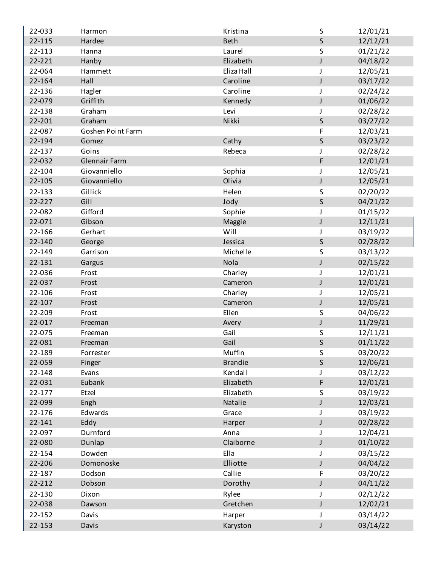| 22-033 | Harmon                   | Kristina       | $\sf S$      | 12/01/21 |
|--------|--------------------------|----------------|--------------|----------|
| 22-115 | Hardee                   | <b>Beth</b>    | $\mathsf{S}$ | 12/12/21 |
| 22-113 | Hanna                    | Laurel         | $\sf S$      | 01/21/22 |
| 22-221 | Hanby                    | Elizabeth      | $\mathsf J$  | 04/18/22 |
| 22-064 | Hammett                  | Eliza Hall     | J            | 12/05/21 |
| 22-164 | Hall                     | Caroline       | $\mathsf J$  | 03/17/22 |
| 22-136 | Hagler                   | Caroline       | J            | 02/24/22 |
| 22-079 | Griffith                 | Kennedy        | J            | 01/06/22 |
| 22-138 | Graham                   | Levi           |              | 02/28/22 |
| 22-201 | Graham                   | Nikki          | $\sf S$      | 03/27/22 |
| 22-087 | <b>Goshen Point Farm</b> |                | F            | 12/03/21 |
| 22-194 | Gomez                    | Cathy          | $\sf S$      | 03/23/22 |
| 22-137 | Goins                    | Rebeca         | J            | 02/28/22 |
| 22-032 | <b>Glennair Farm</b>     |                | F            | 12/01/21 |
| 22-104 | Giovanniello             | Sophia         | J            | 12/05/21 |
| 22-105 | Giovanniello             | Olivia         | $\mathsf J$  | 12/05/21 |
| 22-133 | Gillick                  | Helen          | S            | 02/20/22 |
| 22-227 | Gill                     | Jody           | $\mathsf{S}$ | 04/21/22 |
| 22-082 | Gifford                  | Sophie         | J            | 01/15/22 |
| 22-071 | Gibson                   | Maggie         | J            | 12/11/21 |
| 22-166 | Gerhart                  | Will           | J            | 03/19/22 |
| 22-140 | George                   | Jessica        | $\sf S$      | 02/28/22 |
| 22-149 | Garrison                 | Michelle       | S            | 03/13/22 |
| 22-131 | Gargus                   | Nola           | J            | 02/15/22 |
| 22-036 | Frost                    | Charley        | J            | 12/01/21 |
| 22-037 | Frost                    | Cameron        | $\mathsf J$  | 12/01/21 |
| 22-106 | Frost                    | Charley        | J            | 12/05/21 |
| 22-107 | Frost                    | Cameron        | J            | 12/05/21 |
| 22-209 | Frost                    | Ellen          | $\sf S$      | 04/06/22 |
| 22-017 | Freeman                  | Avery          | J            | 11/29/21 |
| 22-075 | Freeman                  | Gail           | S            | 12/11/21 |
| 22-081 | Freeman                  | Gail           | $\mathsf S$  | 01/11/22 |
| 22-189 | Forrester                | Muffin         | S            | 03/20/22 |
| 22-059 | Finger                   | <b>Brandie</b> | $\mathsf{S}$ | 12/06/21 |
| 22-148 | Evans                    | Kendall        |              | 03/12/22 |
| 22-031 | Eubank                   | Elizabeth      | F            | 12/01/21 |
| 22-177 | Etzel                    | Elizabeth      | S            | 03/19/22 |
| 22-099 | Engh                     | Natalie        | $\mathsf J$  | 12/03/21 |
| 22-176 | Edwards                  | Grace          | J            | 03/19/22 |
| 22-141 | Eddy                     | Harper         | J            | 02/28/22 |
| 22-097 | Durnford                 | Anna           |              | 12/04/21 |
| 22-080 | Dunlap                   | Claiborne      | J            | 01/10/22 |
|        | Dowden                   | Ella           |              |          |
| 22-154 |                          |                | J            | 03/15/22 |
| 22-206 | Domonoske                | Elliotte       | J            | 04/04/22 |
| 22-187 | Dodson                   | Callie         | F            | 03/20/22 |
| 22-212 | Dobson                   | Dorothy        | J            | 04/11/22 |
| 22-130 | Dixon                    | Rylee          | J            | 02/12/22 |
| 22-038 | Dawson                   | Gretchen       | J            | 12/02/21 |
| 22-152 | Davis                    | Harper         | J            | 03/14/22 |
| 22-153 | Davis                    | Karyston       | J            | 03/14/22 |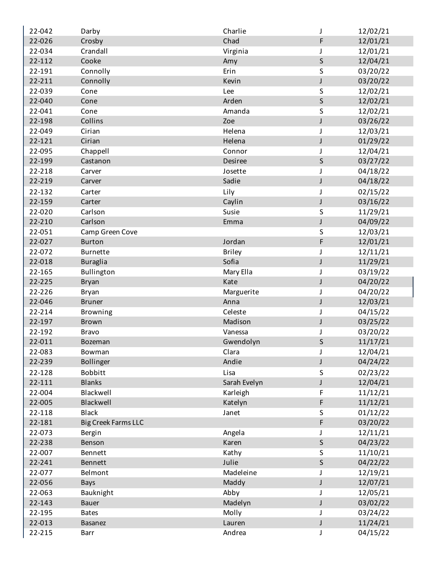| 22-042 | Darby                      | Charlie       | J           | 12/02/21 |
|--------|----------------------------|---------------|-------------|----------|
| 22-026 | Crosby                     | Chad          | F           | 12/01/21 |
| 22-034 | Crandall                   | Virginia      |             | 12/01/21 |
| 22-112 | Cooke                      | Amy           | $\sf S$     | 12/04/21 |
| 22-191 | Connolly                   | Erin          | S           | 03/20/22 |
| 22-211 | Connolly                   | Kevin         | $\mathsf J$ | 03/20/22 |
| 22-039 | Cone                       | Lee           | S           | 12/02/21 |
| 22-040 | Cone                       | Arden         | $\sf S$     | 12/02/21 |
| 22-041 | Cone                       | Amanda        | $\sf S$     | 12/02/21 |
| 22-198 | Collins                    | Zoe           | $\mathsf J$ | 03/26/22 |
| 22-049 | Cirian                     | Helena        | J           | 12/03/21 |
| 22-121 | Cirian                     | Helena        | $\mathsf J$ | 01/29/22 |
| 22-095 | Chappell                   | Connor        | J           | 12/04/21 |
| 22-199 | Castanon                   | Desiree       | $\sf S$     | 03/27/22 |
| 22-218 | Carver                     | Josette       |             | 04/18/22 |
| 22-219 | Carver                     | Sadie         | $\mathsf J$ | 04/18/22 |
| 22-132 | Carter                     | Lily          | J           | 02/15/22 |
| 22-159 | Carter                     | Caylin        | $\mathsf J$ | 03/16/22 |
| 22-020 | Carlson                    | Susie         | S           | 11/29/21 |
| 22-210 | Carlson                    | Emma          | J           | 04/09/22 |
| 22-051 | Camp Green Cove            |               | S           | 12/03/21 |
| 22-027 | <b>Burton</b>              | Jordan        | $\mathsf F$ | 12/01/21 |
| 22-072 | Burnette                   | <b>Briley</b> | J           | 12/11/21 |
| 22-018 | <b>Buraglia</b>            | Sofia         | J           | 11/29/21 |
| 22-165 | Bullington                 | Mary Ella     | J           | 03/19/22 |
| 22-225 | <b>Bryan</b>               | Kate          | J           | 04/20/22 |
| 22-226 | <b>Bryan</b>               | Marguerite    | J           | 04/20/22 |
| 22-046 | <b>Bruner</b>              | Anna          | J           | 12/03/21 |
| 22-214 | <b>Browning</b>            | Celeste       | J           | 04/15/22 |
| 22-197 | <b>Brown</b>               | Madison       | J           | 03/25/22 |
| 22-192 | <b>Bravo</b>               | Vanessa       |             | 03/20/22 |
| 22-011 | Bozeman                    | Gwendolyn     | S           | 11/17/21 |
| 22-083 | Bowman                     | Clara         | J           | 12/04/21 |
| 22-239 | Bollinger                  | Andie         | J           | 04/24/22 |
| 22-128 | <b>Bobbitt</b>             | Lisa          | $\sf S$     | 02/23/22 |
| 22-111 | <b>Blanks</b>              | Sarah Evelyn  | J           | 12/04/21 |
| 22-004 | Blackwell                  | Karleigh      | F           | 11/12/21 |
| 22-005 | Blackwell                  | Katelyn       | $\mathsf F$ | 11/12/21 |
| 22-118 | <b>Black</b>               | Janet         | S           | 01/12/22 |
| 22-181 | <b>Big Creek Farms LLC</b> |               | F           | 03/20/22 |
| 22-073 | Bergin                     | Angela        |             | 12/11/21 |
| 22-238 | Benson                     | Karen         | $\sf S$     | 04/23/22 |
| 22-007 | Bennett                    | Kathy         | S           | 11/10/21 |
| 22-241 | Bennett                    | Julie         | $\sf S$     | 04/22/22 |
| 22-077 | Belmont                    | Madeleine     | J           | 12/19/21 |
| 22-056 | <b>Bays</b>                | Maddy         | J           | 12/07/21 |
| 22-063 | Bauknight                  | Abby          |             | 12/05/21 |
| 22-143 | <b>Bauer</b>               | Madelyn       | J           | 03/02/22 |
| 22-195 | <b>Bates</b>               | Molly         | J           | 03/24/22 |
| 22-013 | <b>Basanez</b>             | Lauren        | $\mathsf J$ | 11/24/21 |
| 22-215 | Barr                       | Andrea        | J           | 04/15/22 |
|        |                            |               |             |          |